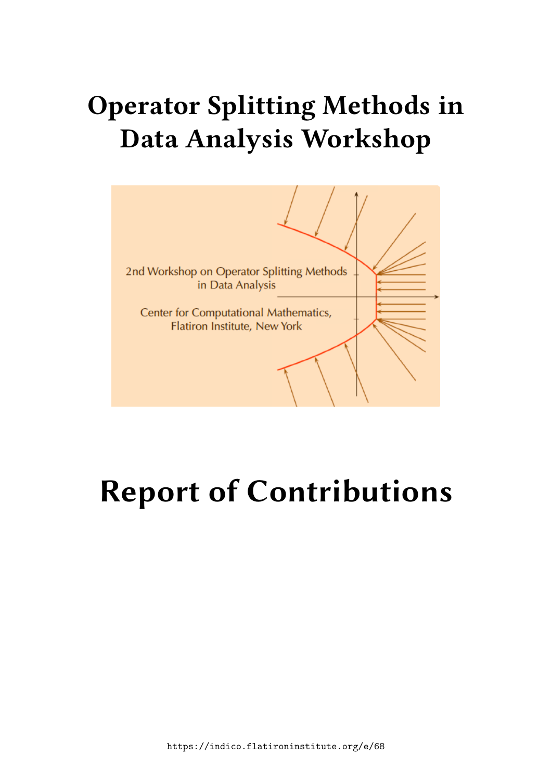## **Operator Splitting Methods in Data Analysis Workshop**



# **Report of Contributions**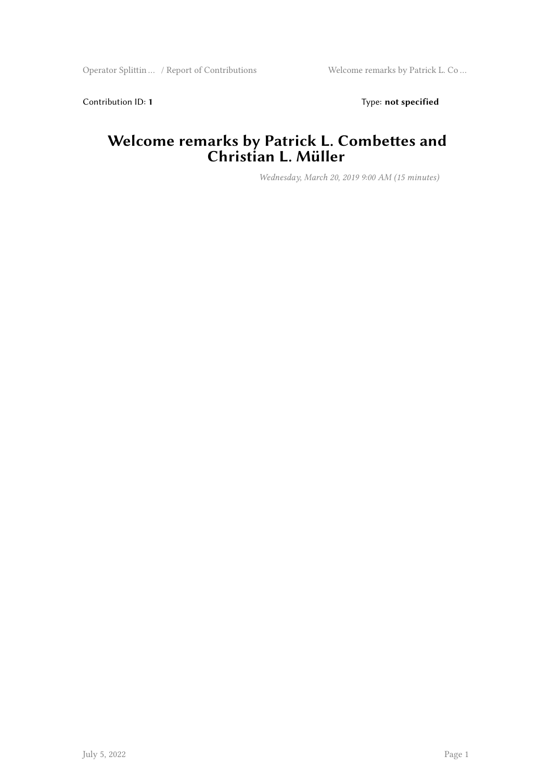Contribution ID: 1 Type: **not specified** 

#### **Welcome remarks by Patrick L. Combettes and Christian L. Müller**

*Wednesday, March 20, 2019 9:00 AM (15 minutes)*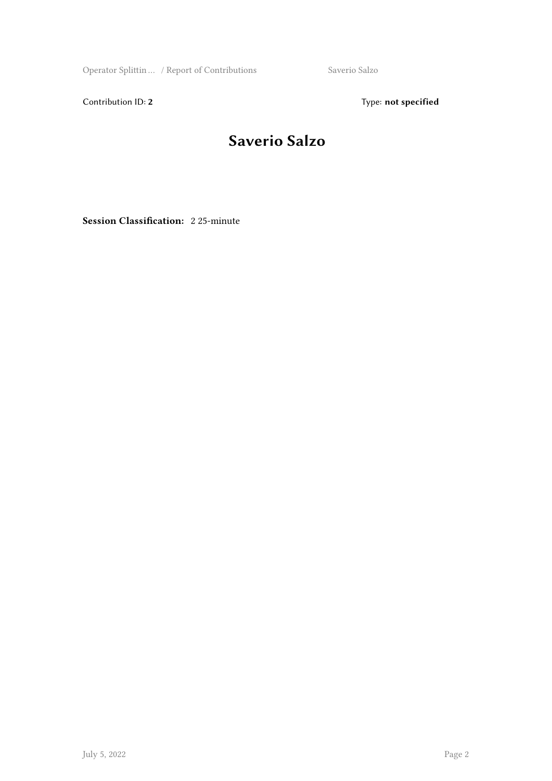Operator Splittin ... / Report of Contributions Saverio Salzo

Contribution ID: 2 Type: **not specified** 

#### **Saverio Salzo**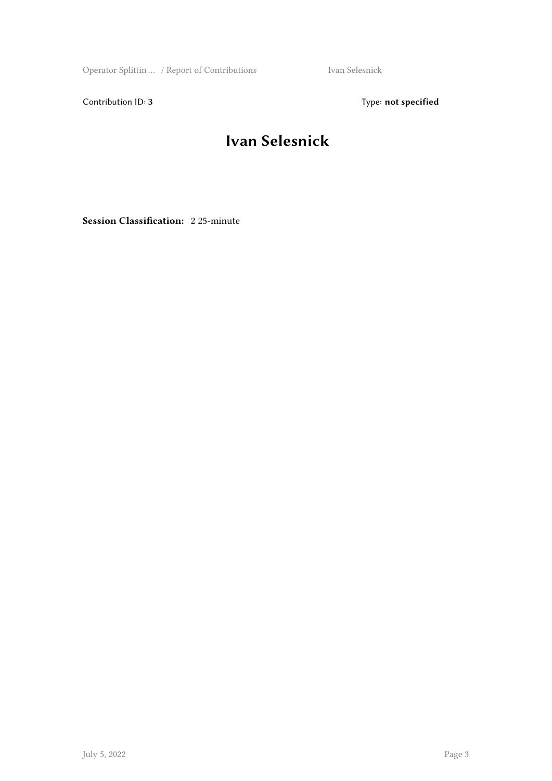Operator Splittin … / Report of Contributions Ivan Selesnick

Contribution ID: 3 Type: **not specified** 

#### **Ivan Selesnick**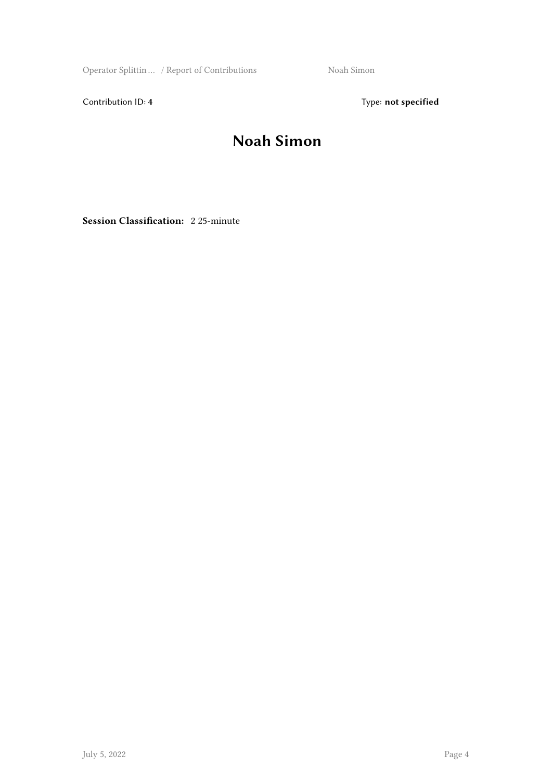Operator Splittin ... / Report of Contributions Noah Simon

Contribution ID: 4 Type: **not specified** 

#### **Noah Simon**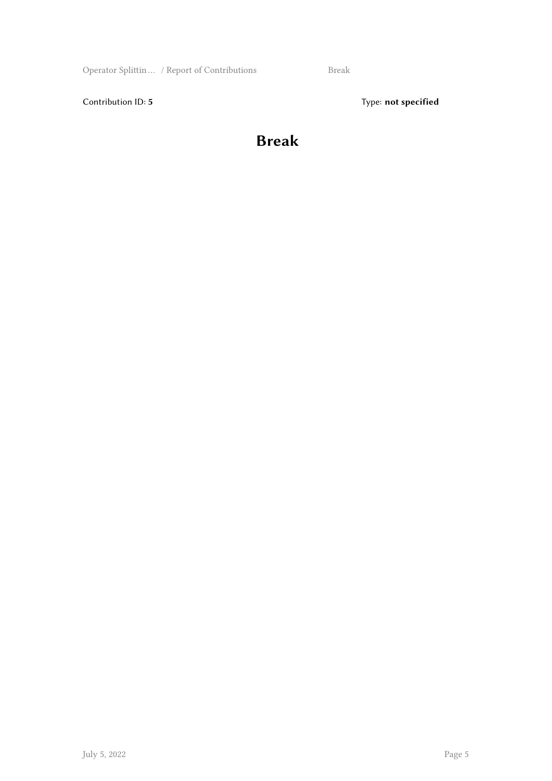Operator Splittin … / Report of Contributions Break

Contribution ID: 5 Type: **not specified** 

#### **Break**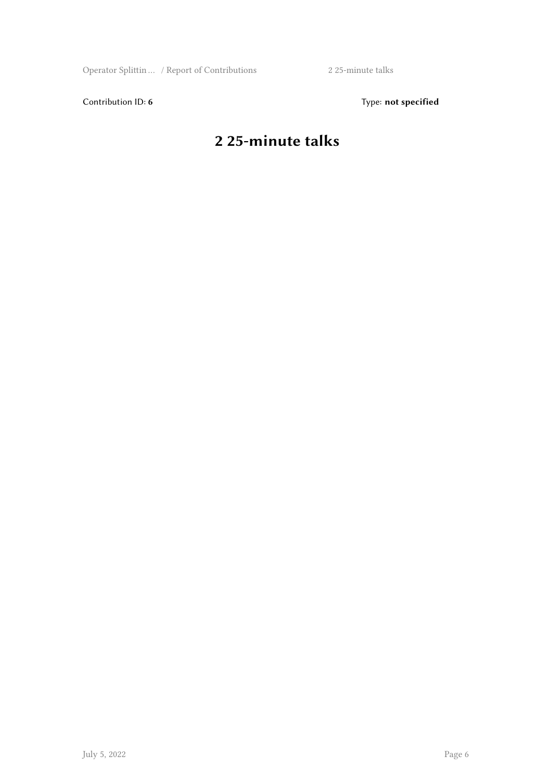Operator Splittin … / Report of Contributions 2 25-minute talks

Contribution ID: 6 Type: not specified

#### **2 25-minute talks**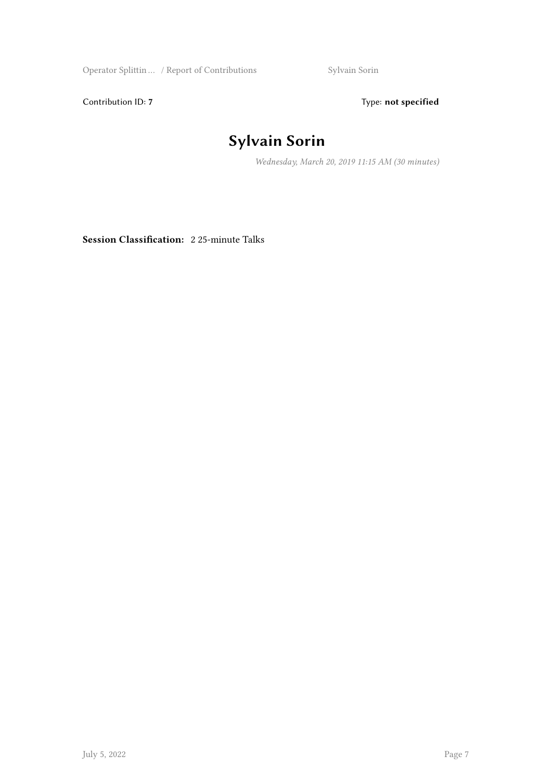Operator Splittin … / Report of Contributions Sylvain Sorin

Contribution ID: 7 Type: **not specified** 

## **Sylvain Sorin**

*Wednesday, March 20, 2019 11:15 AM (30 minutes)*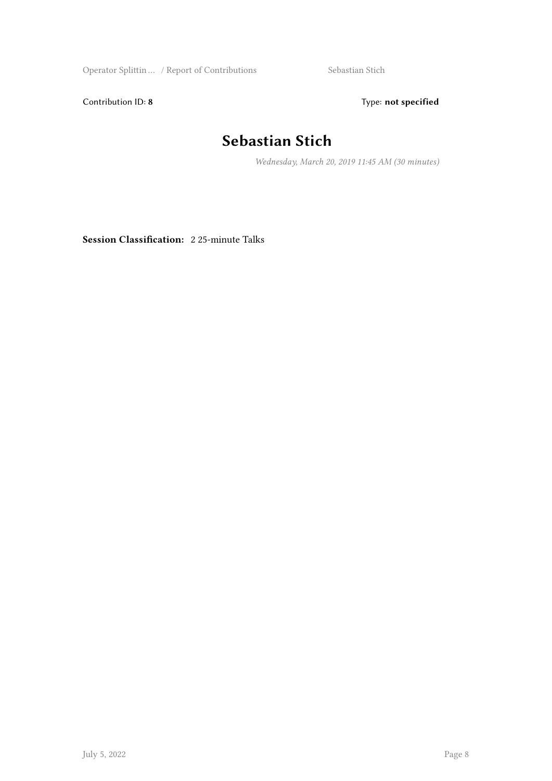Operator Splittin … / Report of Contributions Sebastian Stich

Contribution ID: 8 Type: **not specified** 

#### **Sebastian Stich**

*Wednesday, March 20, 2019 11:45 AM (30 minutes)*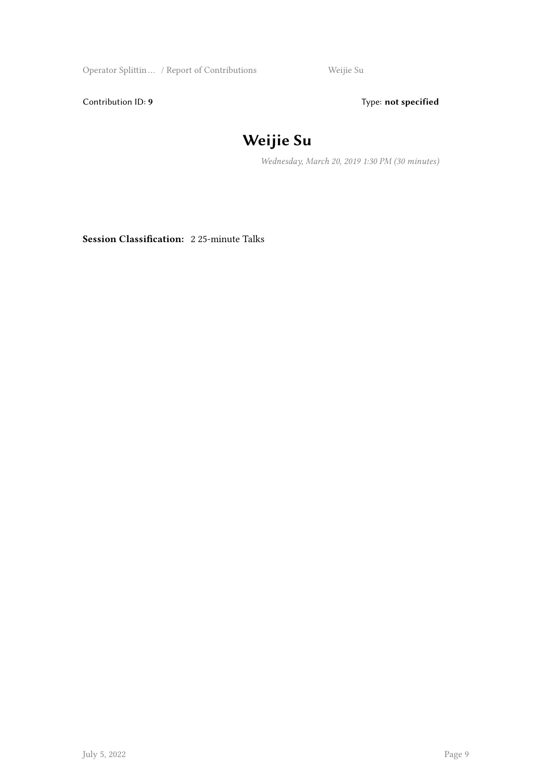Operator Splittin … / Report of Contributions Weijie Su

Contribution ID: 9 Type: **not specified** 

#### **Weijie Su**

*Wednesday, March 20, 2019 1:30 PM (30 minutes)*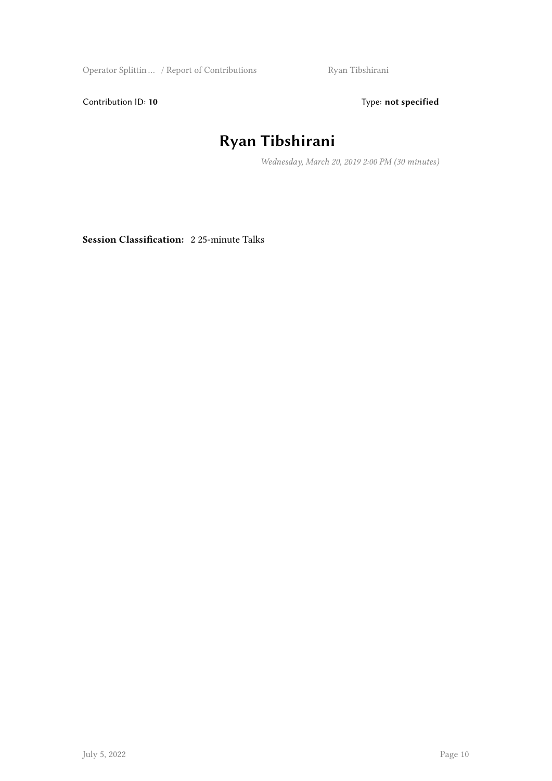Operator Splittin … / Report of Contributions Ryan Tibshirani

Contribution ID: 10 **Type:** not specified

## **Ryan Tibshirani**

*Wednesday, March 20, 2019 2:00 PM (30 minutes)*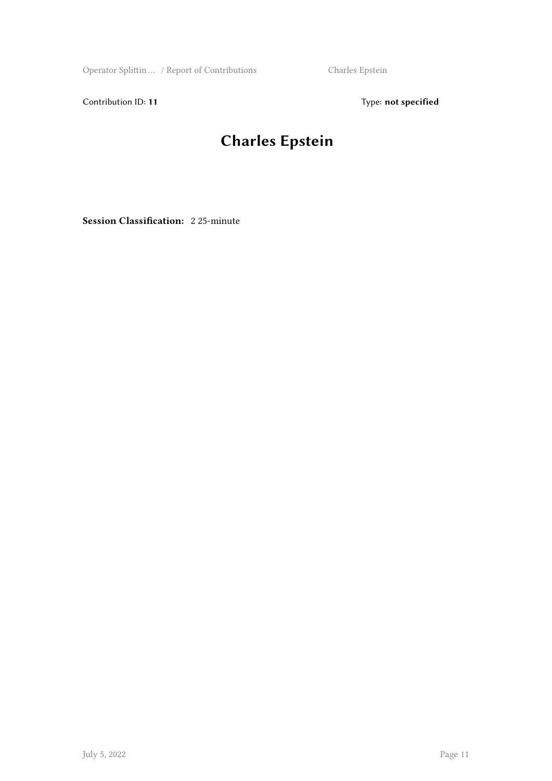Operator Splittin … / Report of Contributions Charles Epstein

Contribution ID: 11 Type: **not specified** 

## **Charles Epstein**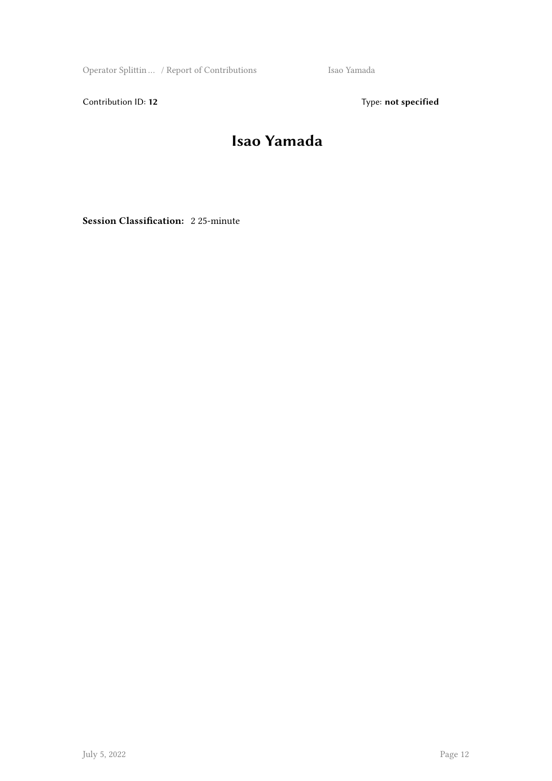Operator Splittin … / Report of Contributions Isao Yamada

Contribution ID: 12 Type: **not specified** 

#### **Isao Yamada**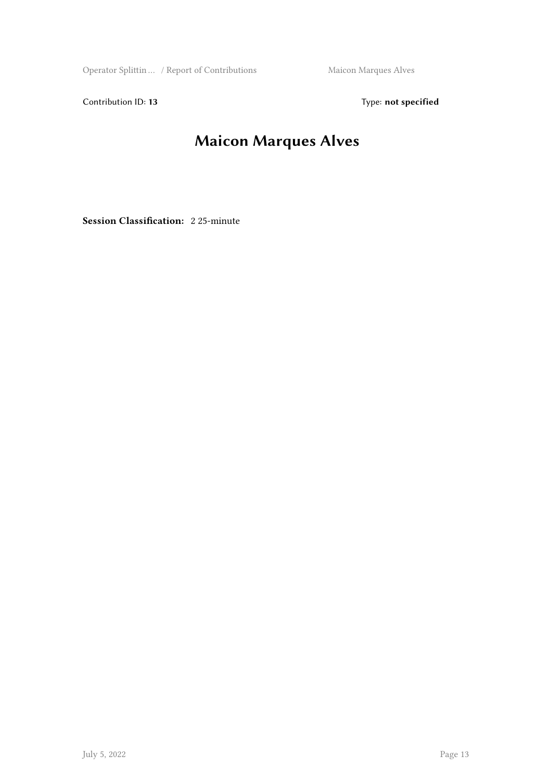Operator Splittin ... / Report of Contributions Maicon Marques Alves

Contribution ID: 13 Type: **not specified** 

### **Maicon Marques Alves**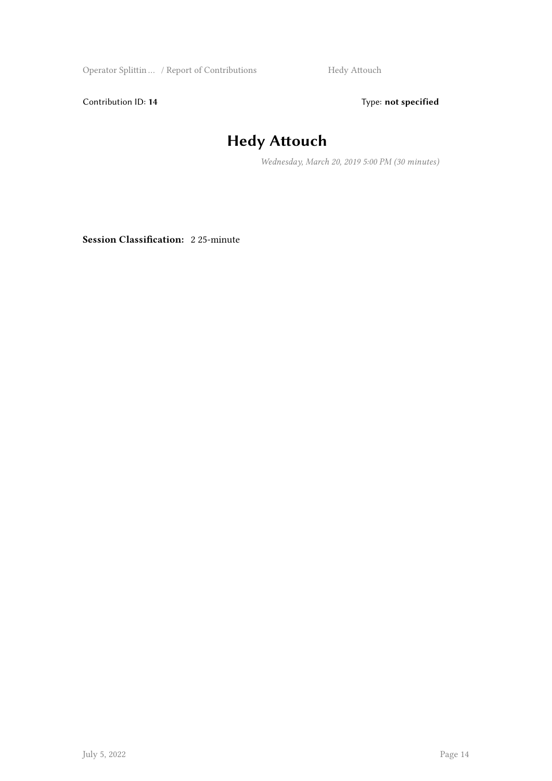Operator Splittin ... / Report of Contributions Hedy Attouch

Contribution ID: 14 Type: **not specified** 

#### **Hedy Attouch**

*Wednesday, March 20, 2019 5:00 PM (30 minutes)*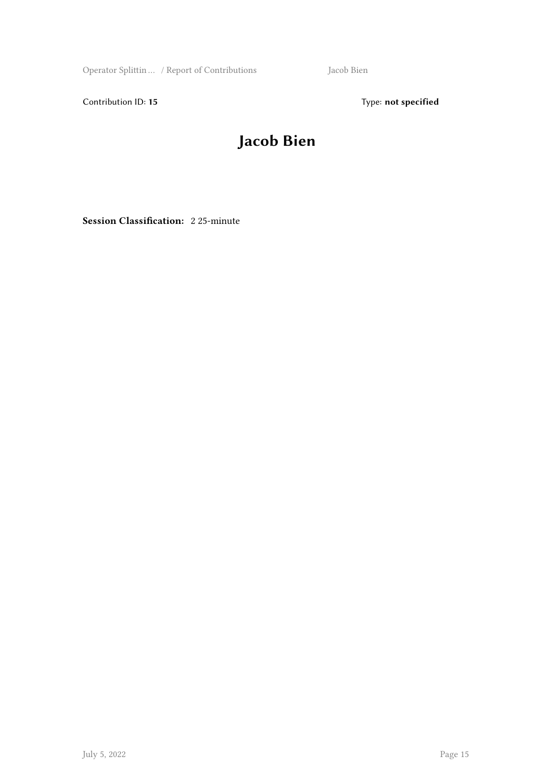Operator Splittin … / Report of Contributions Jacob Bien

Contribution ID: 15 Type: **not specified** 

#### **Jacob Bien**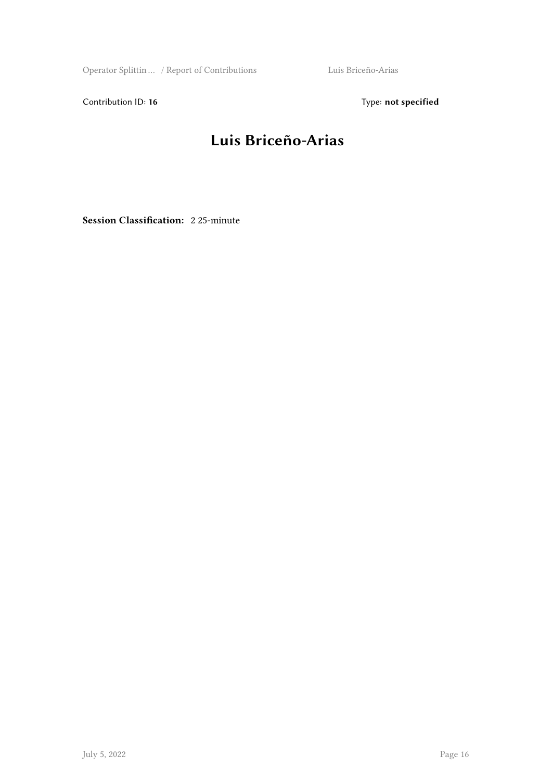Operator Splittin … / Report of Contributions Luis Briceño-Arias

Contribution ID: 16 Type: not specified

#### **Luis Briceño-Arias**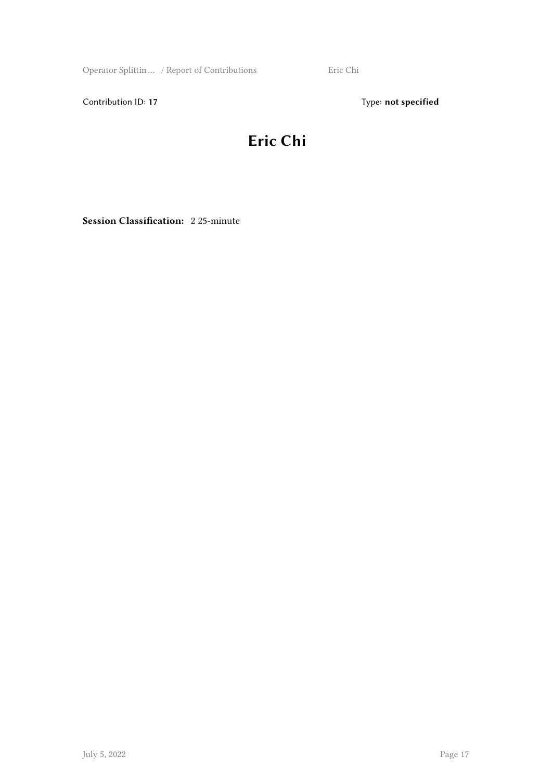Operator Splittin … / Report of Contributions Eric Chi

Contribution ID: 17 Type: **not specified** 

#### **Eric Chi**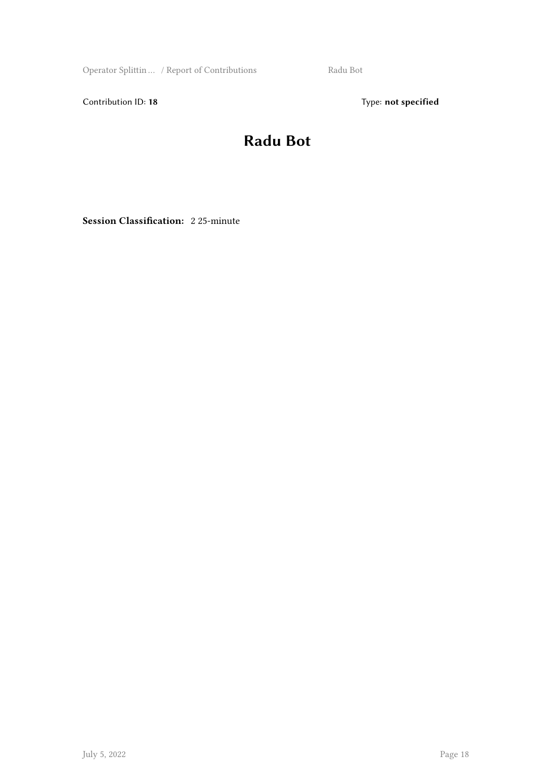Operator Splittin ... / Report of Contributions Radu Bot

Contribution ID: 18 Type: not specified

#### **Radu Bot**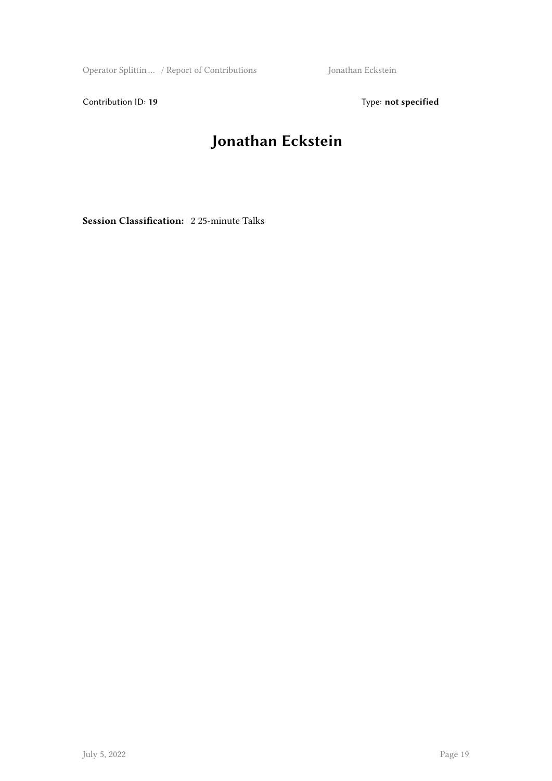Operator Splittin … / Report of Contributions Jonathan Eckstein

Contribution ID: 19 Type: **not specified** 

## **Jonathan Eckstein**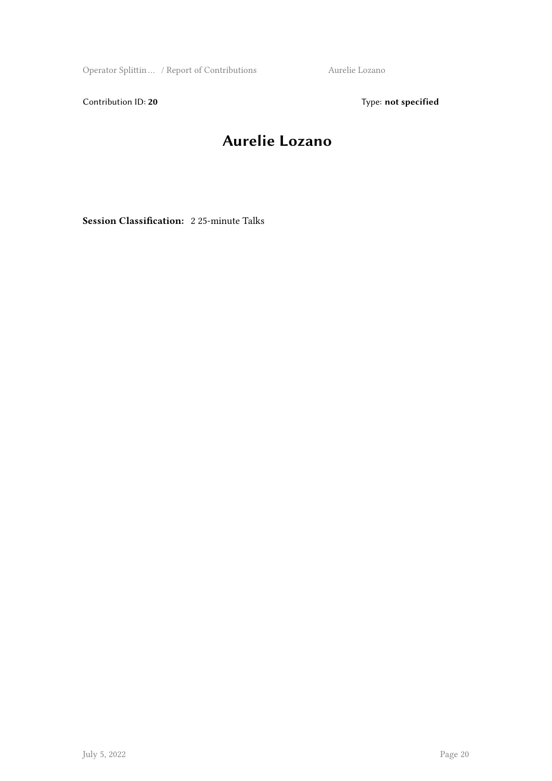Operator Splittin ... / Report of Contributions Aurelie Lozano

Contribution ID: 20 Type: **not specified** 

#### **Aurelie Lozano**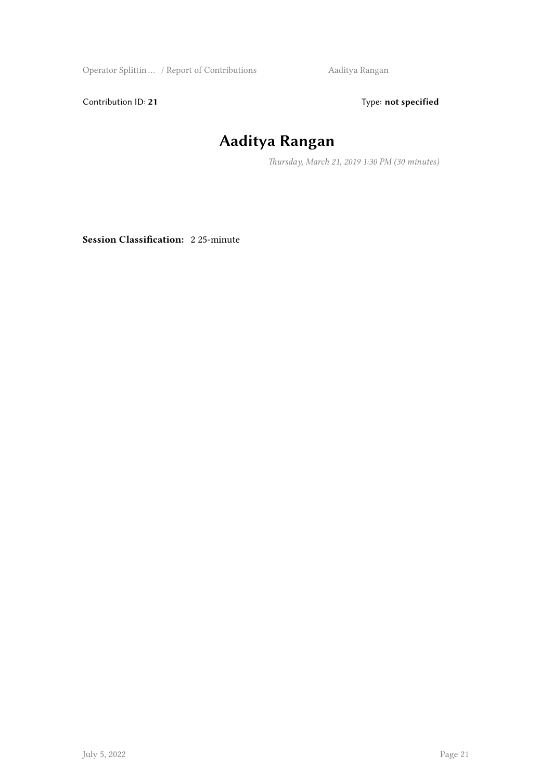Operator Splittin … / Report of Contributions Aaditya Rangan

Contribution ID: 21 Type: **not specified** 

## **Aaditya Rangan**

*Thursday, March 21, 2019 1:30 PM (30 minutes)*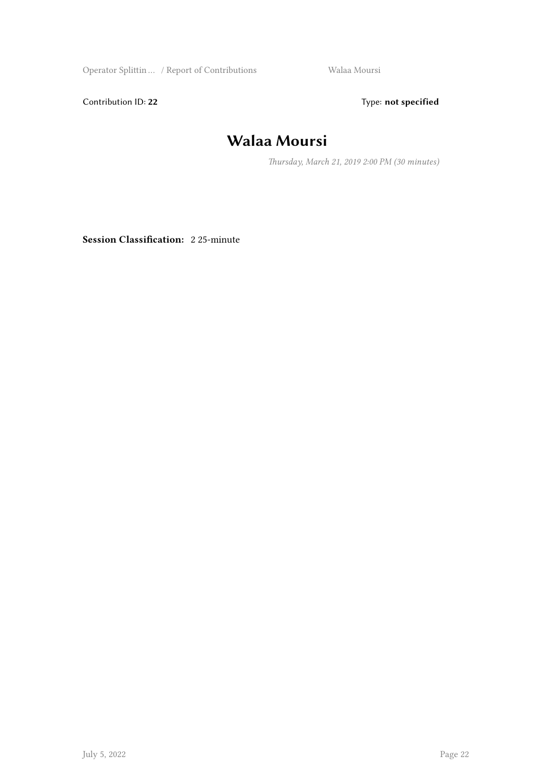Operator Splittin … / Report of Contributions Walaa Moursi

Contribution ID: 22 Type: **not specified** 

#### **Walaa Moursi**

*Thursday, March 21, 2019 2:00 PM (30 minutes)*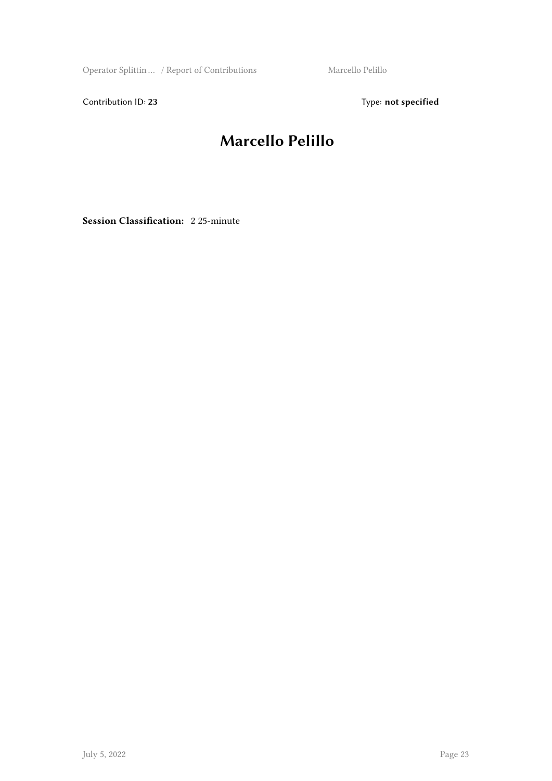Operator Splittin ... / Report of Contributions Marcello Pelillo

Contribution ID: 23 Type: **not specified** 

#### **Marcello Pelillo**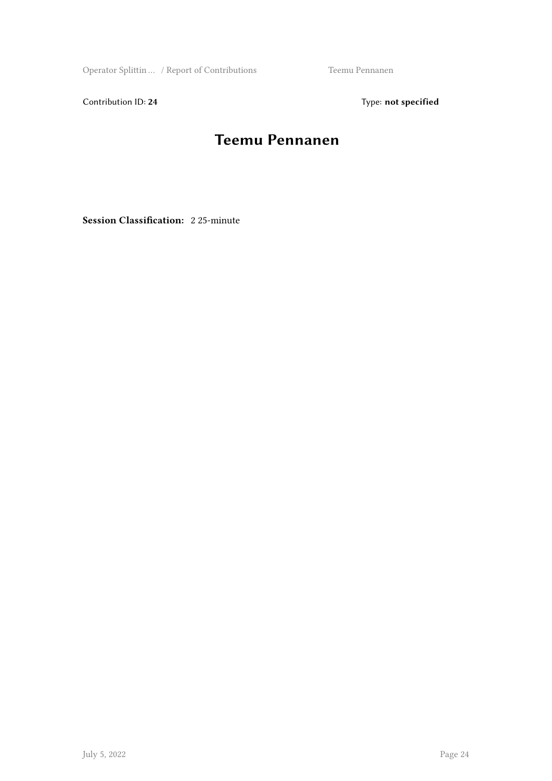Operator Splittin … / Report of Contributions Teemu Pennanen

Contribution ID: 24 Type: **not specified** 

#### **Teemu Pennanen**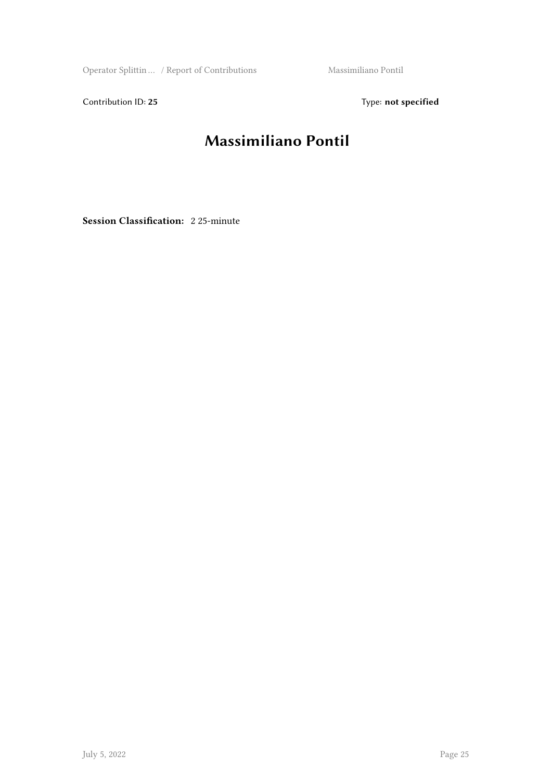Operator Splittin … / Report of Contributions Massimiliano Pontil

Contribution ID: 25 Type: **not specified** 

#### **Massimiliano Pontil**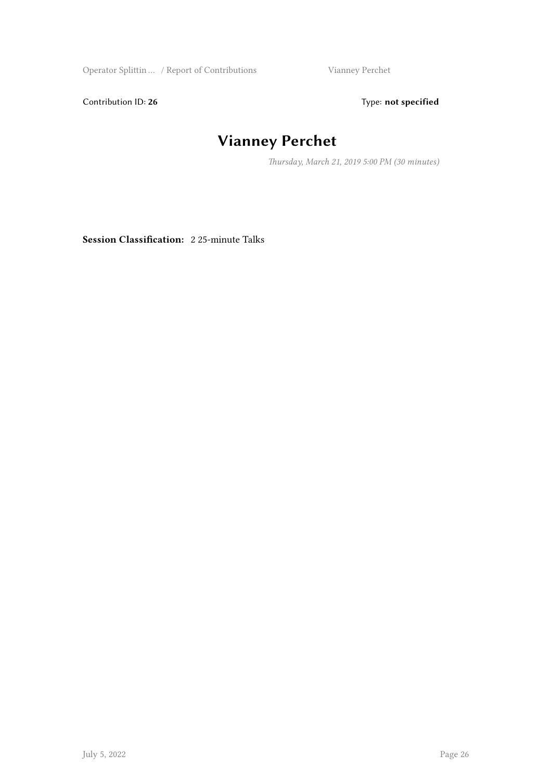Operator Splittin … / Report of Contributions Vianney Perchet

Contribution ID: 26 Type: **not specified** 

### **Vianney Perchet**

*Thursday, March 21, 2019 5:00 PM (30 minutes)*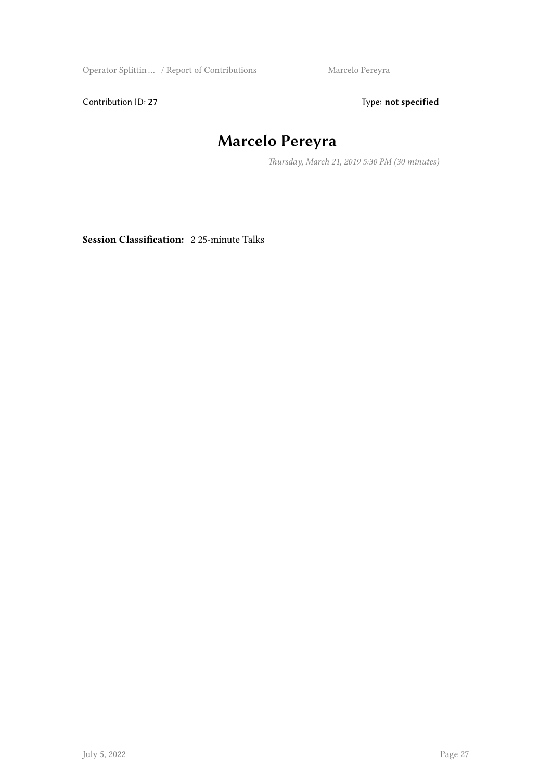Operator Splittin … / Report of Contributions Marcelo Pereyra

Contribution ID: 27 Type: **not specified** 

## **Marcelo Pereyra**

*Thursday, March 21, 2019 5:30 PM (30 minutes)*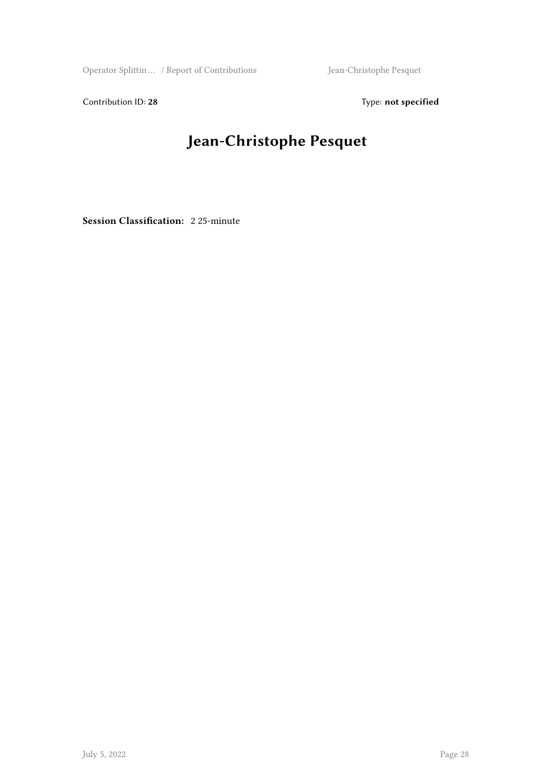Operator Splittin … / Report of Contributions Jean-Christophe Pesquet

Contribution ID: 28 Type: **not specified** 

### **Jean-Christophe Pesquet**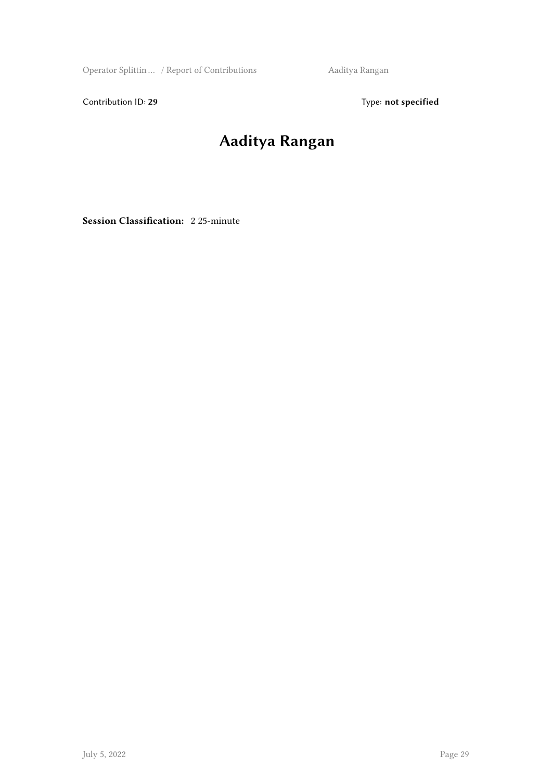Operator Splittin … / Report of Contributions Aaditya Rangan

Contribution ID: 29 Type: **not specified** 

### **Aaditya Rangan**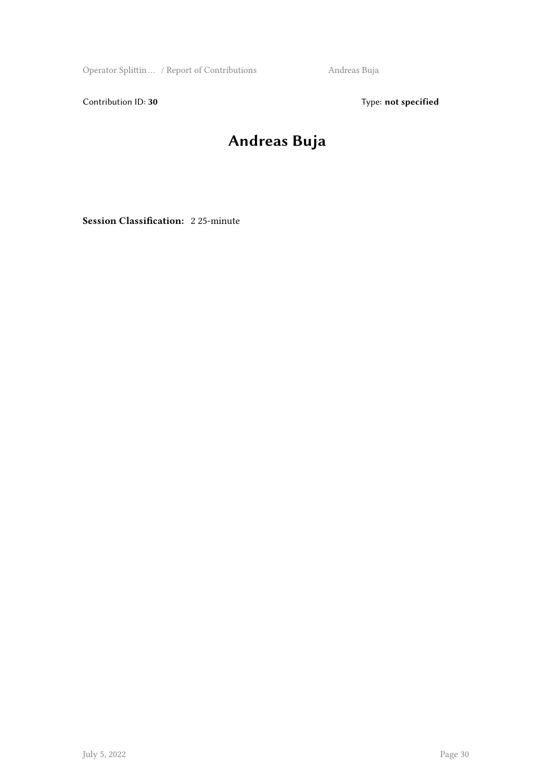Operator Splittin … / Report of Contributions Andreas Buja

Contribution ID: 30 Type: **not specified** 

### **Andreas Buja**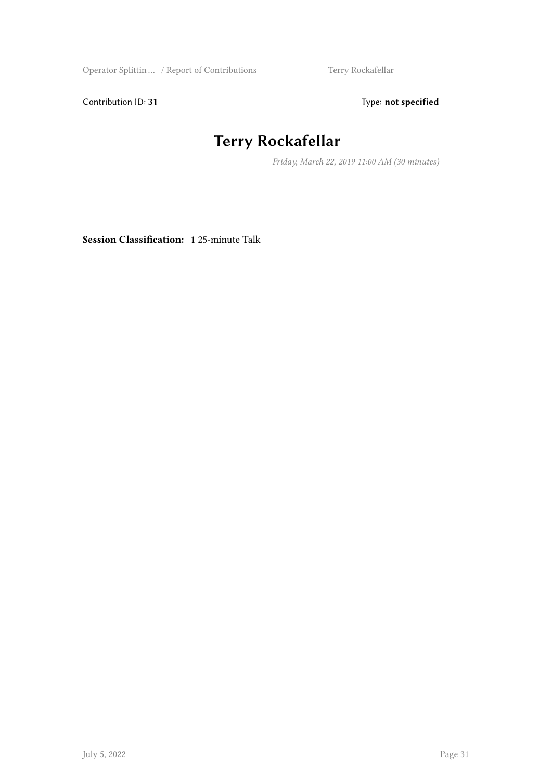Operator Splittin … / Report of Contributions Terry Rockafellar

Contribution ID: 31 Type: **not specified** 

## **Terry Rockafellar**

*Friday, March 22, 2019 11:00 AM (30 minutes)*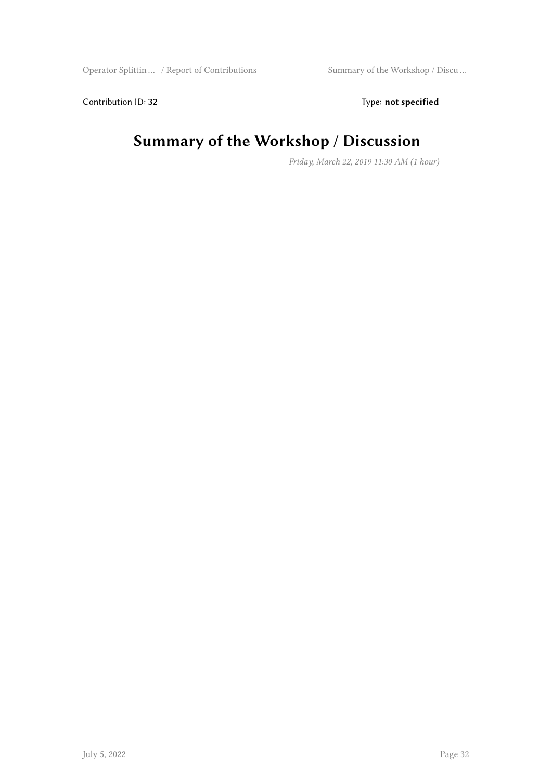Contribution ID: 32 Type: **not specified** 

#### **Summary of the Workshop / Discussion**

*Friday, March 22, 2019 11:30 AM (1 hour)*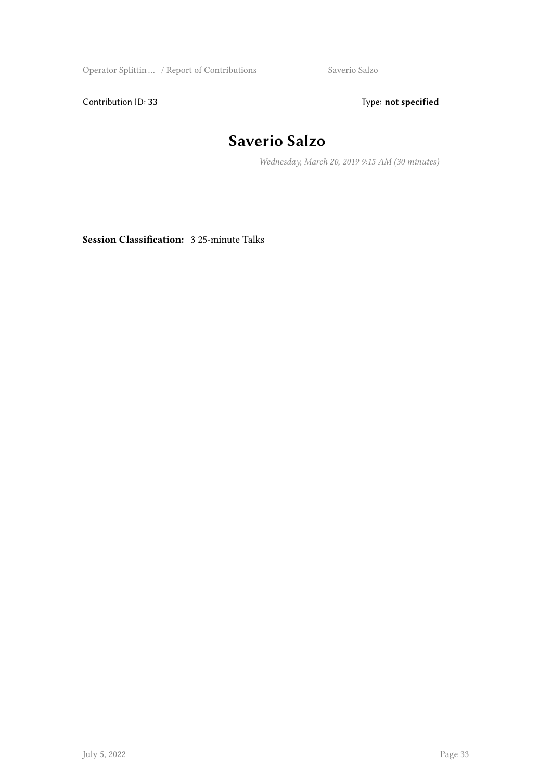Operator Splittin ... / Report of Contributions Saverio Salzo

Contribution ID: 33 Type: **not specified** 

#### **Saverio Salzo**

*Wednesday, March 20, 2019 9:15 AM (30 minutes)*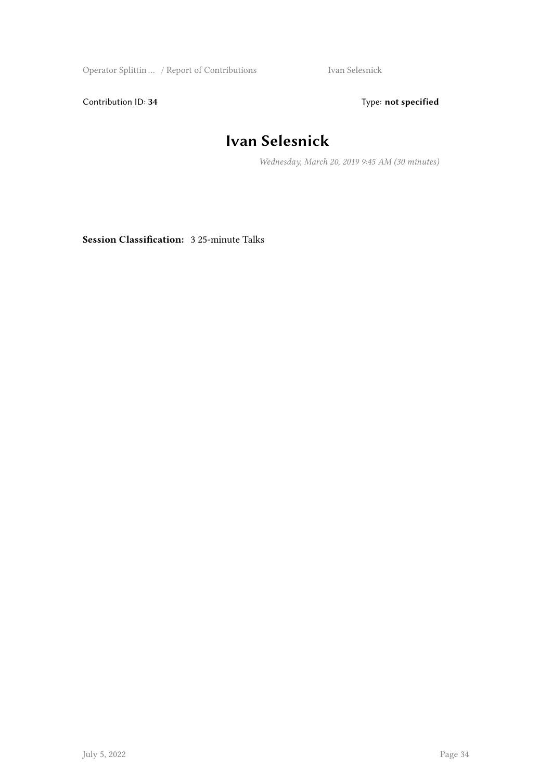Operator Splittin ... / Report of Contributions Ivan Selesnick

Contribution ID: 34 Type: **not specified** 

#### **Ivan Selesnick**

*Wednesday, March 20, 2019 9:45 AM (30 minutes)*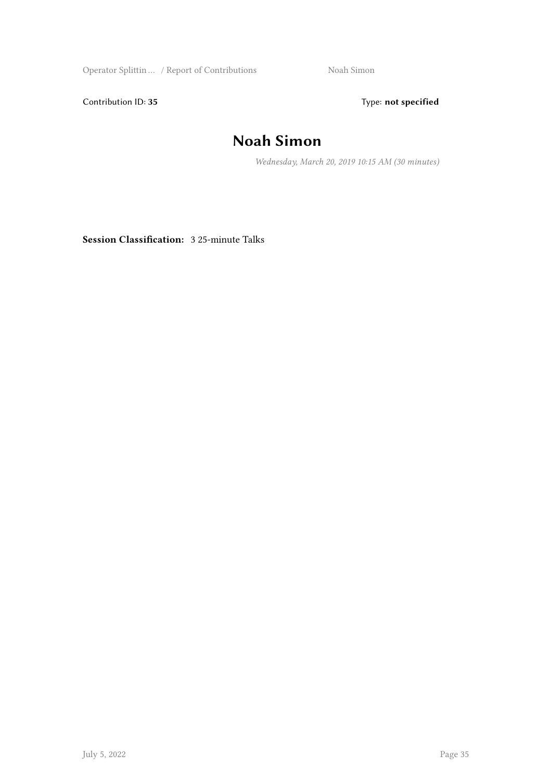Operator Splittin ... / Report of Contributions Noah Simon

Contribution ID: 35 Type: **not specified** 

#### **Noah Simon**

*Wednesday, March 20, 2019 10:15 AM (30 minutes)*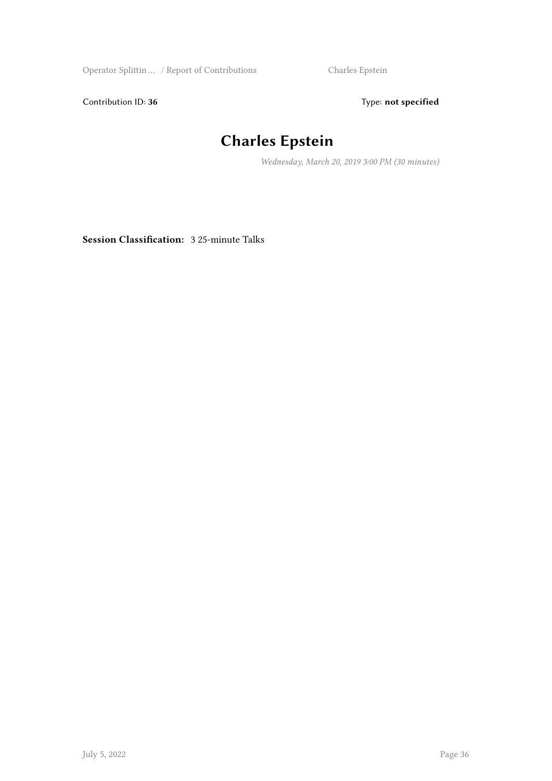Operator Splittin … / Report of Contributions Charles Epstein

Contribution ID: 36 Type: **not specified** 

## **Charles Epstein**

*Wednesday, March 20, 2019 3:00 PM (30 minutes)*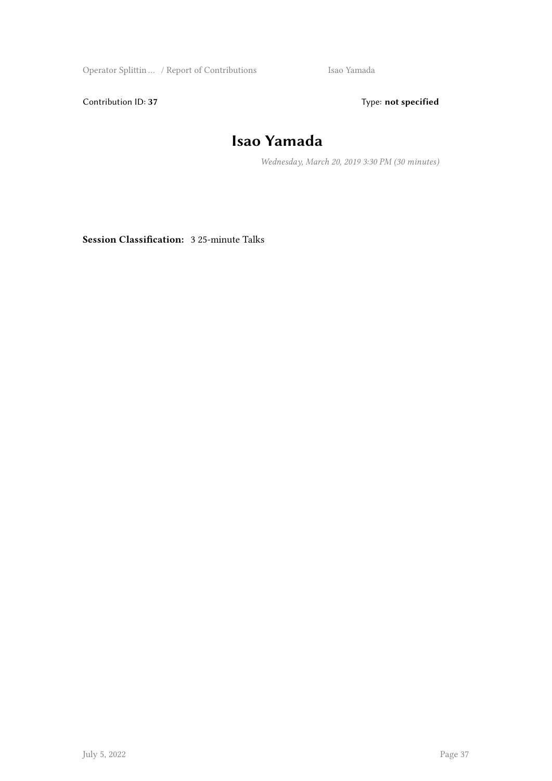Operator Splittin … / Report of Contributions Isao Yamada

Contribution ID: 37 Type: **not specified** 

#### **Isao Yamada**

*Wednesday, March 20, 2019 3:30 PM (30 minutes)*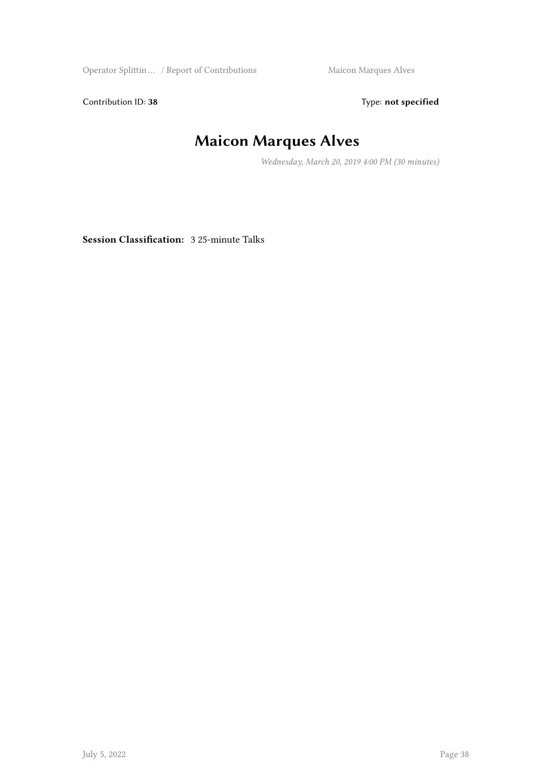Operator Splittin ... / Report of Contributions Maicon Marques Alves

Contribution ID: 38 Type: **not specified** 

## **Maicon Marques Alves**

*Wednesday, March 20, 2019 4:00 PM (30 minutes)*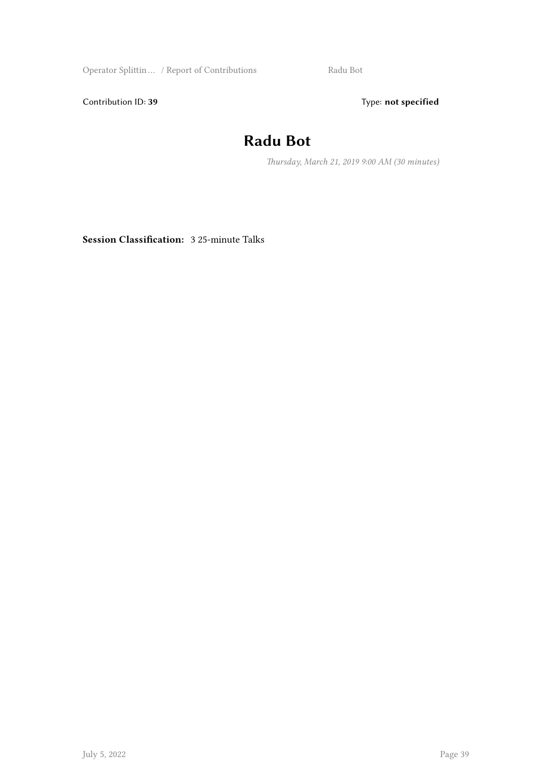Operator Splittin ... / Report of Contributions Radu Bot

Contribution ID: 39 Type: **not specified** 

#### **Radu Bot**

*Thursday, March 21, 2019 9:00 AM (30 minutes)*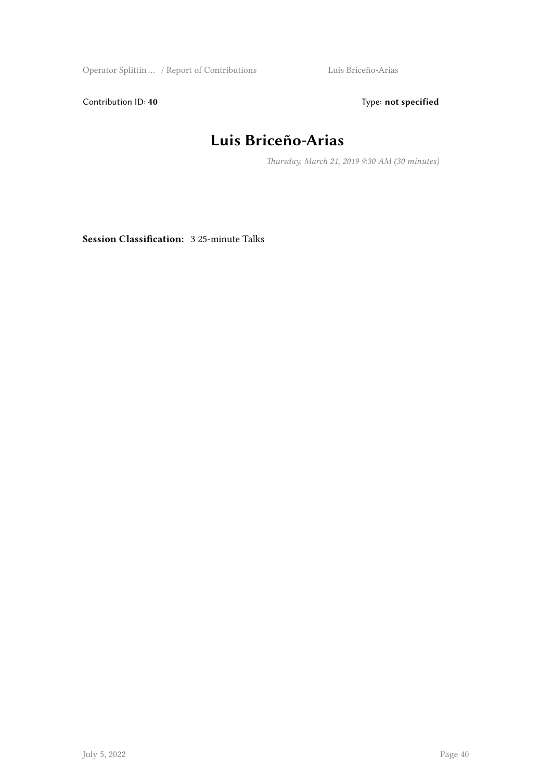Operator Splittin … / Report of Contributions Luis Briceño-Arias

Contribution ID: 40 **Type:** not specified

#### **Luis Briceño-Arias**

*Thursday, March 21, 2019 9:30 AM (30 minutes)*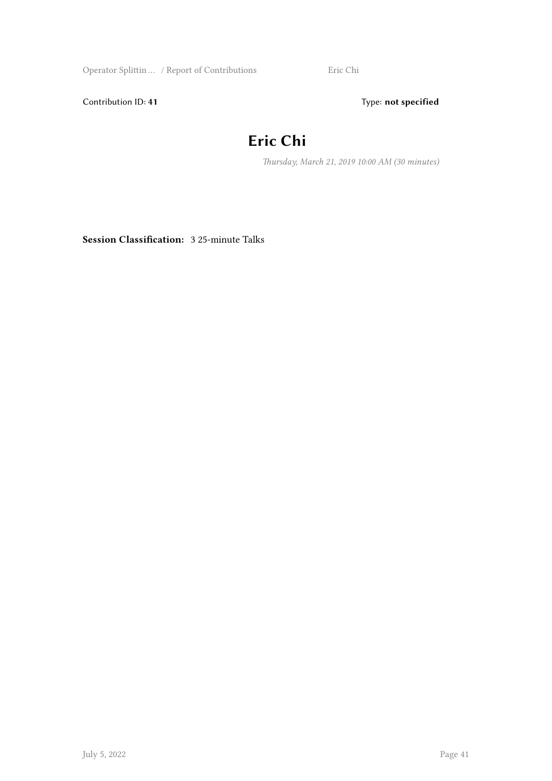Operator Splittin … / Report of Contributions Eric Chi

Contribution ID: 41 Type: **not specified** 

#### **Eric Chi**

*Thursday, March 21, 2019 10:00 AM (30 minutes)*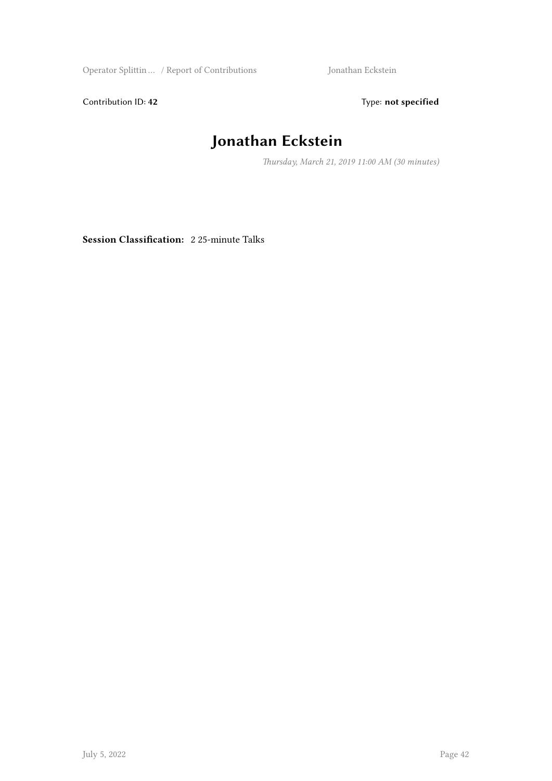Operator Splittin … / Report of Contributions Jonathan Eckstein

Contribution ID: 42 Type: **not specified** 

## **Jonathan Eckstein**

*Thursday, March 21, 2019 11:00 AM (30 minutes)*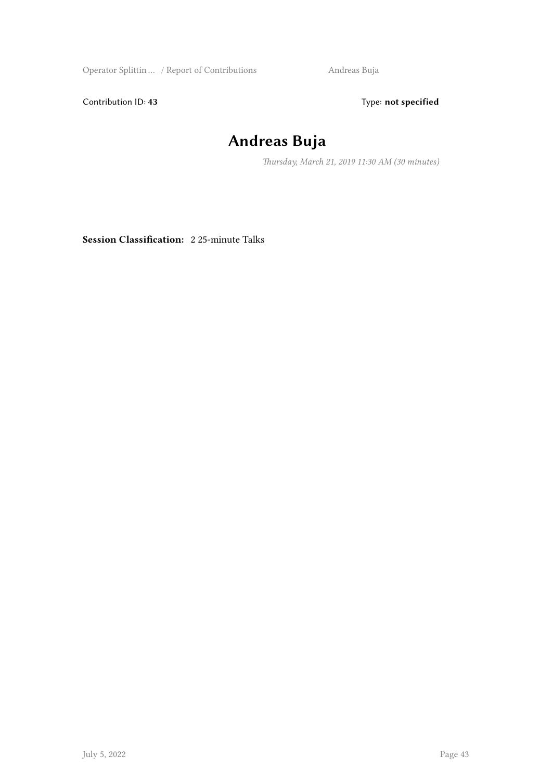Operator Splittin … / Report of Contributions Andreas Buja

Contribution ID: 43 Type: **not specified** 

### **Andreas Buja**

*Thursday, March 21, 2019 11:30 AM (30 minutes)*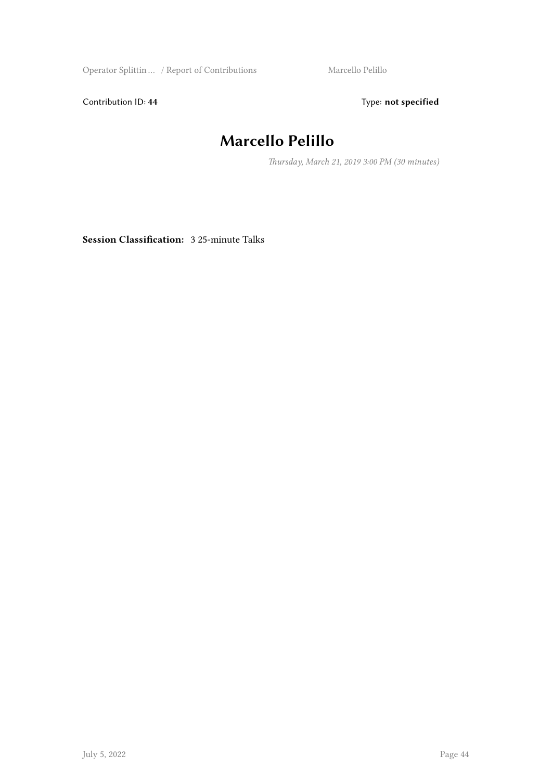Operator Splittin ... / Report of Contributions Marcello Pelillo

Contribution ID: 44 Type: **not specified** 

## **Marcello Pelillo**

*Thursday, March 21, 2019 3:00 PM (30 minutes)*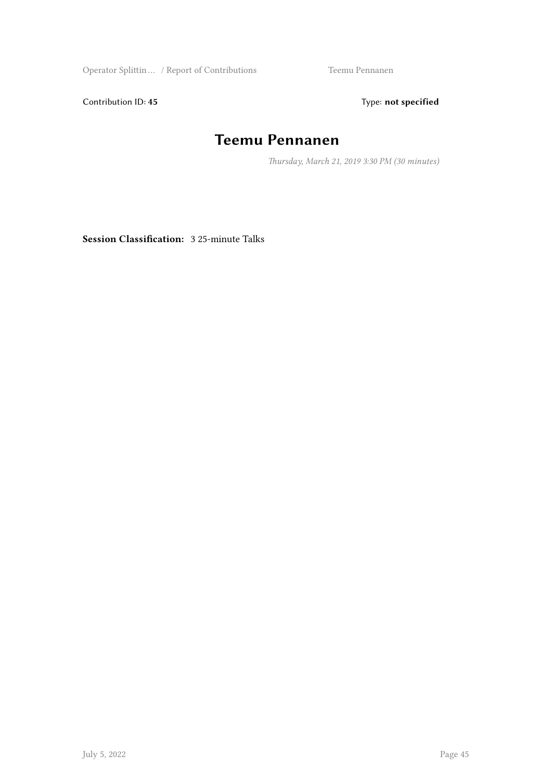Operator Splittin … / Report of Contributions Teemu Pennanen

Contribution ID: 45 Type: **not specified** 

#### **Teemu Pennanen**

*Thursday, March 21, 2019 3:30 PM (30 minutes)*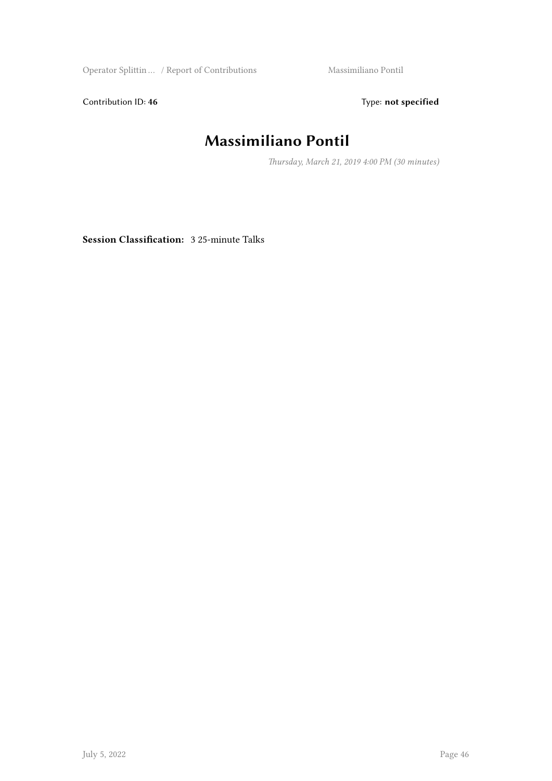Operator Splittin … / Report of Contributions Massimiliano Pontil

Contribution ID: 46 Type: **not specified** 

#### **Massimiliano Pontil**

*Thursday, March 21, 2019 4:00 PM (30 minutes)*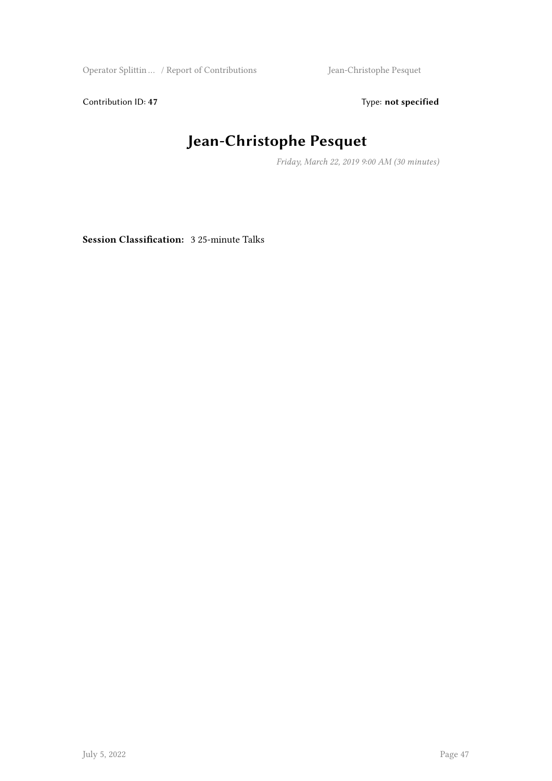Operator Splittin … / Report of Contributions Jean-Christophe Pesquet

Contribution ID: 47 Type: **not specified** 

## **Jean-Christophe Pesquet**

*Friday, March 22, 2019 9:00 AM (30 minutes)*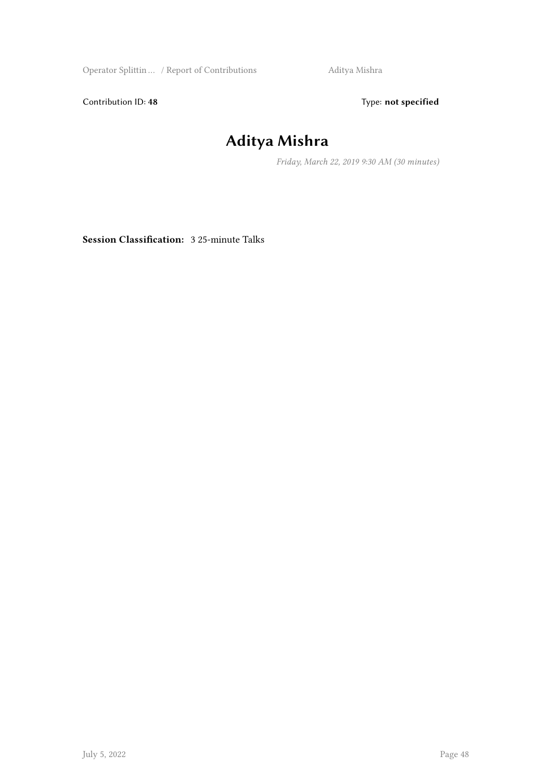Operator Splittin ... / Report of Contributions Aditya Mishra

Contribution ID: 48 Type: **not specified** 

#### **Aditya Mishra**

*Friday, March 22, 2019 9:30 AM (30 minutes)*